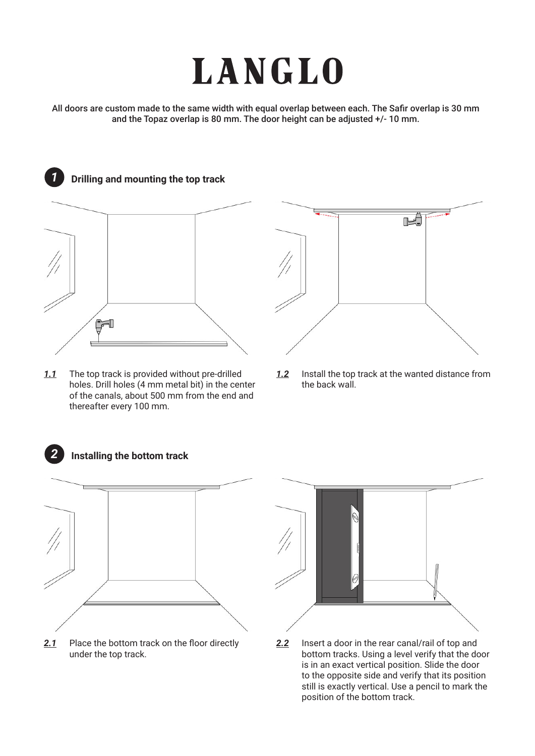## **LANGLO**

All doors are custom made to the same width with equal overlap between each. The Safir overlap is 30 mm and the Topaz overlap is 80 mm. The door height can be adjusted +/- 10 mm.



*1.1* The top track is provided without pre-drilled holes. Drill holes (4 mm metal bit) in the center of the canals, about 500 mm from the end and thereafter every 100 mm.



*1.2* Install the top track at the wanted distance from the back wall.



**Installing the bottom track**

*2*

2.1 Place the bottom track on the floor directly under the top track.



*2.2* Insert a door in the rear canal/rail of top and bottom tracks. Using a level verify that the door is in an exact vertical position. Slide the door to the opposite side and verify that its position still is exactly vertical. Use a pencil to mark the position of the bottom track.